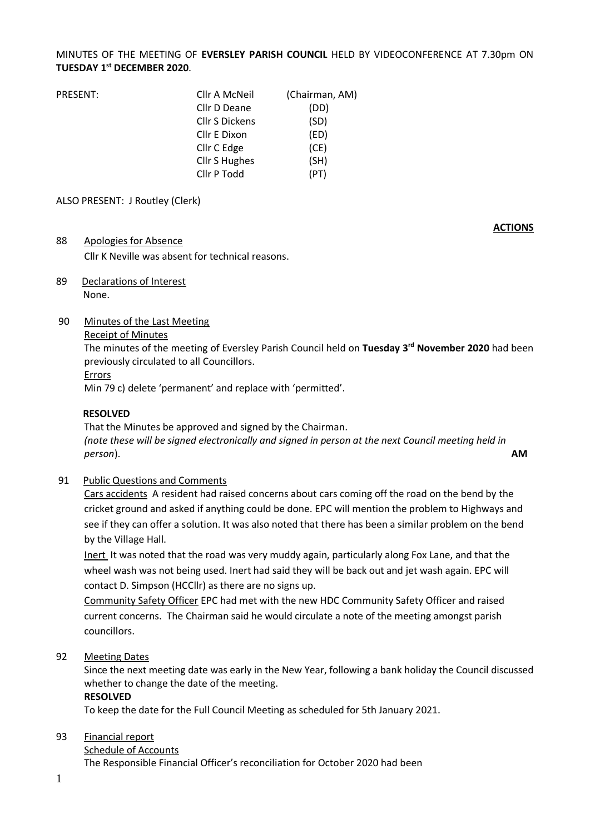### MINUTES OF THE MEETING OF **EVERSLEY PARISH COUNCIL** HELD BY VIDEOCONFERENCE AT 7.30pm ON **TUESDAY 1 st DECEMBER 2020**.

| PRESENT: | Cllr A McNeil         | (Chairman, AM) |
|----------|-----------------------|----------------|
|          | Cllr D Deane          | (DD)           |
|          | <b>Cllr S Dickens</b> | (SD)           |
|          | Cllr E Dixon          | (ED)           |
|          | Cllr C Edge           | (CE)           |
|          | <b>Cllr S Hughes</b>  | (SH)           |
|          | Cllr P Todd           | (PT)           |

#### ALSO PRESENT: J Routley (Clerk)

#### 88 Apologies for Absence

Cllr K Neville was absent for technical reasons.

89 Declarations of Interest None.

#### 90 Minutes of the Last Meeting

#### Receipt of Minutes

The minutes of the meeting of Eversley Parish Council held on **Tuesday 3 rd November 2020** had been previously circulated to all Councillors.

**ACTIONS**

#### Errors

Min 79 c) delete 'permanent' and replace with 'permitted'.

#### **RESOLVED**

That the Minutes be approved and signed by the Chairman. *(note these will be signed electronically and signed in person at the next Council meeting held in person*). **AM**

#### 91 Public Questions and Comments

Cars accidents A resident had raised concerns about cars coming off the road on the bend by the cricket ground and asked if anything could be done. EPC will mention the problem to Highways and see if they can offer a solution. It was also noted that there has been a similar problem on the bend by the Village Hall.

Inert It was noted that the road was very muddy again, particularly along Fox Lane, and that the wheel wash was not being used. Inert had said they will be back out and jet wash again. EPC will contact D. Simpson (HCCllr) as there are no signs up.

Community Safety Officer EPC had met with the new HDC Community Safety Officer and raised current concerns. The Chairman said he would circulate a note of the meeting amongst parish councillors.

92 Meeting Dates

Since the next meeting date was early in the New Year, following a bank holiday the Council discussed whether to change the date of the meeting.

#### **RESOLVED**

To keep the date for the Full Council Meeting as scheduled for 5th January 2021.

#### 93 Financial report

#### Schedule of Accounts

The Responsible Financial Officer's reconciliation for October 2020 had been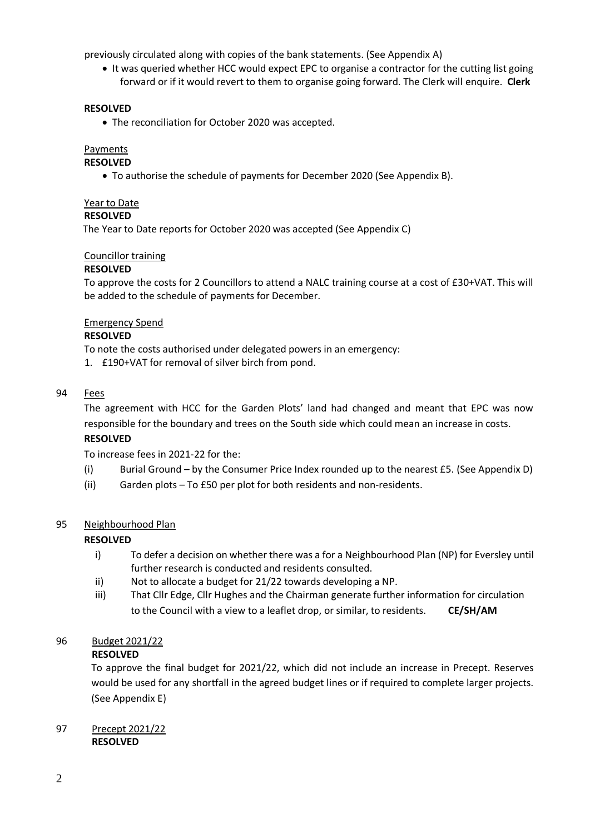previously circulated along with copies of the bank statements. (See Appendix A)

• It was queried whether HCC would expect EPC to organise a contractor for the cutting list going forward or if it would revert to them to organise going forward. The Clerk will enquire. **Clerk**

#### **RESOLVED**

• The reconciliation for October 2020 was accepted.

#### Payments

#### **RESOLVED**

• To authorise the schedule of payments for December 2020 (See Appendix B).

#### Year to Date

#### **RESOLVED**

The Year to Date reports for October 2020 was accepted (See Appendix C)

#### Councillor training

#### **RESOLVED**

To approve the costs for 2 Councillors to attend a NALC training course at a cost of £30+VAT. This will be added to the schedule of payments for December.

#### Emergency Spend

#### **RESOLVED**

To note the costs authorised under delegated powers in an emergency:

1. £190+VAT for removal of silver birch from pond.

#### 94 Fees

The agreement with HCC for the Garden Plots' land had changed and meant that EPC was now responsible for the boundary and trees on the South side which could mean an increase in costs.

#### **RESOLVED**

To increase fees in 2021-22 for the:

- (i) Burial Ground by the Consumer Price Index rounded up to the nearest £5. (See Appendix D)
- (ii) Garden plots To £50 per plot for both residents and non-residents.

#### 95 Neighbourhood Plan

#### **RESOLVED**

- i) To defer a decision on whether there was a for a Neighbourhood Plan (NP) for Eversley until further research is conducted and residents consulted.
- ii) Not to allocate a budget for 21/22 towards developing a NP.
- iii) That Cllr Edge, Cllr Hughes and the Chairman generate further information for circulation to the Council with a view to a leaflet drop, or similar, to residents. **CE/SH/AM**

#### 96 Budget 2021/22

#### **RESOLVED**

To approve the final budget for 2021/22, which did not include an increase in Precept. Reserves would be used for any shortfall in the agreed budget lines or if required to complete larger projects. (See Appendix E)

#### 97 Precept 2021/22 **RESOLVED**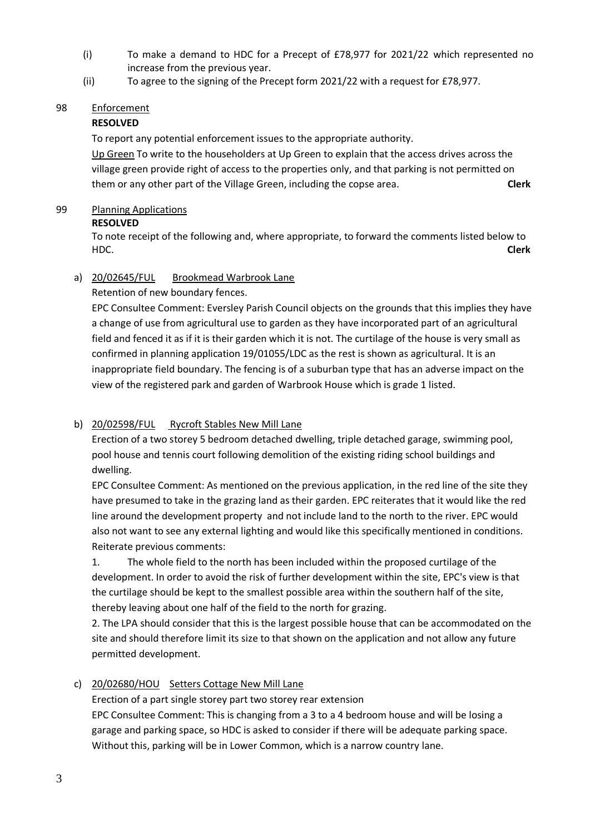- (i) To make a demand to HDC for a Precept of £78,977 for 2021/22 which represented no increase from the previous year.
- (ii) To agree to the signing of the Precept form 2021/22 with a request for £78,977.

### 98 Enforcement

## **RESOLVED**

To report any potential enforcement issues to the appropriate authority.

Up Green To write to the householders at Up Green to explain that the access drives across the village green provide right of access to the properties only, and that parking is not permitted on them or any other part of the Village Green, including the copse area. **Clerk**

### 99 Planning Applications

### **RESOLVED**

To note receipt of the following and, where appropriate, to forward the comments listed below to HDC. **Clerk**

## a) 20/02645/FUL Brookmead Warbrook Lane

### Retention of new boundary fences.

EPC Consultee Comment: Eversley Parish Council objects on the grounds that this implies they have a change of use from agricultural use to garden as they have incorporated part of an agricultural field and fenced it as if it is their garden which it is not. The curtilage of the house is very small as confirmed in planning application 19/01055/LDC as the rest is shown as agricultural. It is an inappropriate field boundary. The fencing is of a suburban type that has an adverse impact on the view of the registered park and garden of Warbrook House which is grade 1 listed.

## b) 20/02598/FUL Rycroft Stables New Mill Lane

Erection of a two storey 5 bedroom detached dwelling, triple detached garage, swimming pool, pool house and tennis court following demolition of the existing riding school buildings and dwelling.

EPC Consultee Comment: As mentioned on the previous application, in the red line of the site they have presumed to take in the grazing land as their garden. EPC reiterates that it would like the red line around the development property and not include land to the north to the river. EPC would also not want to see any external lighting and would like this specifically mentioned in conditions. Reiterate previous comments:

1. The whole field to the north has been included within the proposed curtilage of the development. In order to avoid the risk of further development within the site, EPC's view is that the curtilage should be kept to the smallest possible area within the southern half of the site, thereby leaving about one half of the field to the north for grazing.

2. The LPA should consider that this is the largest possible house that can be accommodated on the site and should therefore limit its size to that shown on the application and not allow any future permitted development.

## c) 20/02680/HOU Setters Cottage New Mill Lane

Erection of a part single storey part two storey rear extension

EPC Consultee Comment: This is changing from a 3 to a 4 bedroom house and will be losing a garage and parking space, so HDC is asked to consider if there will be adequate parking space. Without this, parking will be in Lower Common, which is a narrow country lane.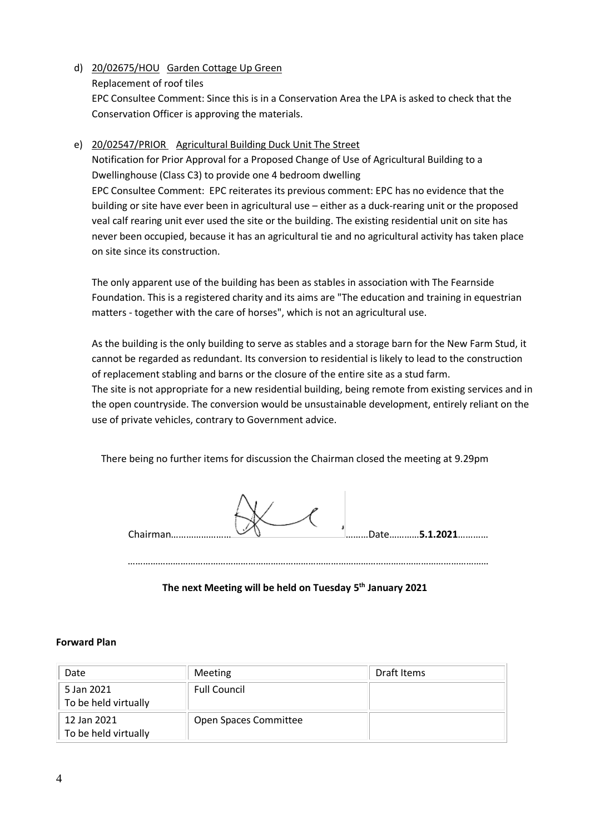d) 20/02675/HOU Garden Cottage Up Green Replacement of roof tiles EPC Consultee Comment: Since this is in a Conservation Area the LPA is asked to check that the Conservation Officer is approving the materials.

### e) 20/02547/PRIOR Agricultural Building Duck Unit The Street

Notification for Prior Approval for a Proposed Change of Use of Agricultural Building to a Dwellinghouse (Class C3) to provide one 4 bedroom dwelling EPC Consultee Comment: EPC reiterates its previous comment: EPC has no evidence that the building or site have ever been in agricultural use – either as a duck-rearing unit or the proposed veal calf rearing unit ever used the site or the building. The existing residential unit on site has never been occupied, because it has an agricultural tie and no agricultural activity has taken place on site since its construction.

The only apparent use of the building has been as stables in association with The Fearnside Foundation. This is a registered charity and its aims are "The education and training in equestrian matters - together with the care of horses", which is not an agricultural use.

As the building is the only building to serve as stables and a storage barn for the New Farm Stud, it cannot be regarded as redundant. Its conversion to residential is likely to lead to the construction of replacement stabling and barns or the closure of the entire site as a stud farm. The site is not appropriate for a new residential building, being remote from existing services and in the open countryside. The conversion would be unsustainable development, entirely reliant on the use of private vehicles, contrary to Government advice.

There being no further items for discussion the Chairman closed the meeting at 9.29pm

| Chairman | Date5.1.2021 |
|----------|--------------|
|----------|--------------|

………………………………………………………………………………………………………………………………

**The next Meeting will be held on Tuesday 5 th January 2021**

#### **Forward Plan**

| Date                                | Meeting               | Draft Items |
|-------------------------------------|-----------------------|-------------|
| 5 Jan 2021<br>To be held virtually  | <b>Full Council</b>   |             |
| 12 Jan 2021<br>To be held virtually | Open Spaces Committee |             |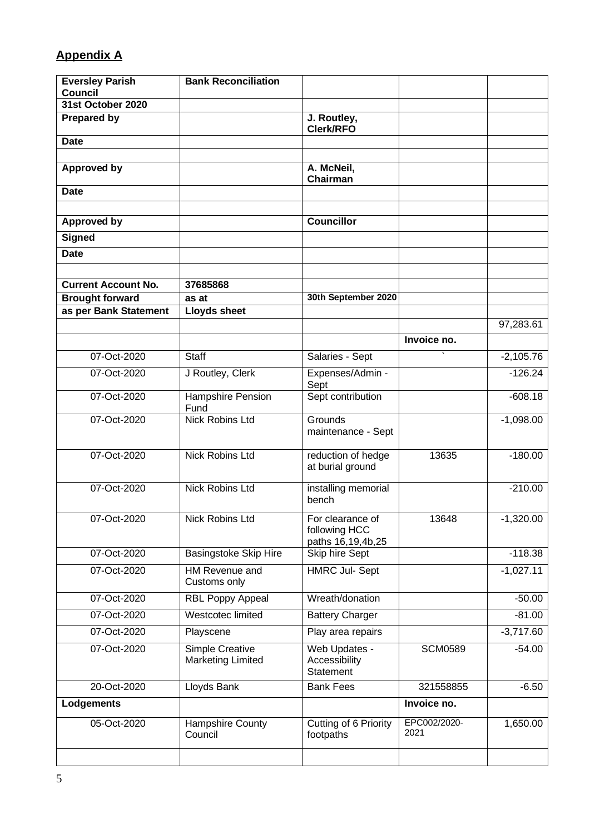# **Appendix A**

|                                             | J. Routley,                                 |                                                                                        |              |
|---------------------------------------------|---------------------------------------------|----------------------------------------------------------------------------------------|--------------|
|                                             | <b>Clerk/RFO</b>                            |                                                                                        |              |
|                                             |                                             |                                                                                        |              |
|                                             |                                             |                                                                                        |              |
|                                             | Chairman                                    |                                                                                        |              |
|                                             |                                             |                                                                                        |              |
|                                             |                                             |                                                                                        |              |
|                                             |                                             |                                                                                        |              |
|                                             |                                             |                                                                                        |              |
|                                             |                                             |                                                                                        |              |
|                                             |                                             |                                                                                        |              |
|                                             |                                             |                                                                                        |              |
| <b>Lloyds sheet</b>                         |                                             |                                                                                        |              |
|                                             |                                             |                                                                                        | 97,283.61    |
|                                             |                                             | Invoice no.                                                                            |              |
| <b>Staff</b>                                | Salaries - Sept                             |                                                                                        | $-2,105.76$  |
| J Routley, Clerk                            | Expenses/Admin -<br>Sept                    |                                                                                        | $-126.24$    |
| Hampshire Pension<br>Fund                   | Sept contribution                           |                                                                                        | $-608.18$    |
|                                             | maintenance - Sept                          |                                                                                        | $-1,098.00$  |
| <b>Nick Robins Ltd</b>                      | reduction of hedge<br>at burial ground      | 13635                                                                                  | $-180.00$    |
| <b>Nick Robins Ltd</b>                      | installing memorial<br>bench                |                                                                                        | $-210.00$    |
| <b>Nick Robins Ltd</b>                      | For clearance of<br>following HCC           | 13648                                                                                  | $-1,320.00$  |
| <b>Basingstoke Skip Hire</b>                | Skip hire Sept                              |                                                                                        | $-118.38$    |
| <b>HM Revenue and</b><br>Customs only       | <b>HMRC Jul-Sept</b>                        |                                                                                        | $-1,027.11$  |
| <b>RBL Poppy Appeal</b>                     | Wreath/donation                             |                                                                                        | $-50.00$     |
| Westcotec limited                           | <b>Battery Charger</b>                      |                                                                                        | $-81.00$     |
| Playscene                                   | Play area repairs                           |                                                                                        | $-3,717.60$  |
| Simple Creative<br><b>Marketing Limited</b> | Web Updates -<br>Accessibility<br>Statement | <b>SCM0589</b>                                                                         | $-54.00$     |
| Lloyds Bank                                 | <b>Bank Fees</b>                            | 321558855                                                                              | $-6.50$      |
|                                             |                                             | Invoice no.                                                                            |              |
| Hampshire County<br>Council                 | Cutting of 6 Priority<br>footpaths          | 2021                                                                                   | 1,650.00     |
|                                             | 37685868<br>as at<br><b>Nick Robins Ltd</b> | A. McNeil,<br><b>Councillor</b><br>30th September 2020<br>Grounds<br>paths 16,19,4b,25 | EPC002/2020- |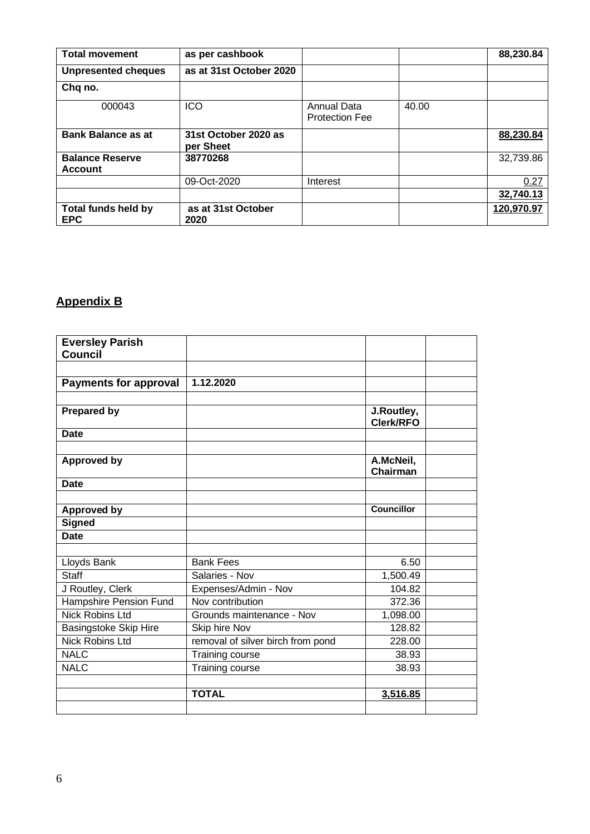| <b>Total movement</b>                    | as per cashbook                   |                                      |       | 88,230.84  |
|------------------------------------------|-----------------------------------|--------------------------------------|-------|------------|
| <b>Unpresented cheques</b>               | as at 31st October 2020           |                                      |       |            |
| Chq no.                                  |                                   |                                      |       |            |
| 000043                                   | ICO                               | Annual Data<br><b>Protection Fee</b> | 40.00 |            |
| <b>Bank Balance as at</b>                | 31st October 2020 as<br>per Sheet |                                      |       | 88,230.84  |
| <b>Balance Reserve</b><br><b>Account</b> | 38770268                          |                                      |       | 32,739.86  |
|                                          | 09-Oct-2020                       | Interest                             |       | 0.27       |
|                                          |                                   |                                      |       | 32,740.13  |
| <b>Total funds held by</b><br><b>EPC</b> | as at 31st October<br>2020        |                                      |       | 120,970.97 |

# **Appendix B**

| <b>Eversley Parish</b><br>Council |                                   |                                |  |
|-----------------------------------|-----------------------------------|--------------------------------|--|
|                                   |                                   |                                |  |
| <b>Payments for approval</b>      | 1.12.2020                         |                                |  |
|                                   |                                   |                                |  |
| <b>Prepared by</b>                |                                   | J.Routley,<br><b>Clerk/RFO</b> |  |
| <b>Date</b>                       |                                   |                                |  |
| <b>Approved by</b>                |                                   | A.McNeil,<br>Chairman          |  |
| <b>Date</b>                       |                                   |                                |  |
| <b>Approved by</b>                |                                   | <b>Councillor</b>              |  |
| <b>Signed</b>                     |                                   |                                |  |
| <b>Date</b>                       |                                   |                                |  |
|                                   |                                   |                                |  |
| Lloyds Bank                       | <b>Bank Fees</b>                  | 6.50                           |  |
| <b>Staff</b>                      | Salaries - Nov                    | 1,500.49                       |  |
| J Routley, Clerk                  | Expenses/Admin - Nov              | 104.82                         |  |
| Hampshire Pension Fund            | Nov contribution                  | 372.36                         |  |
| <b>Nick Robins Ltd</b>            | Grounds maintenance - Nov         | 1,098.00                       |  |
| Basingstoke Skip Hire             | Skip hire Nov                     | 128.82                         |  |
| <b>Nick Robins Ltd</b>            | removal of silver birch from pond | 228.00                         |  |
| <b>NALC</b>                       | Training course                   | 38.93                          |  |
| <b>NALC</b>                       | Training course                   | 38.93                          |  |
|                                   | <b>TOTAL</b>                      | 3,516.85                       |  |
|                                   |                                   |                                |  |
|                                   |                                   |                                |  |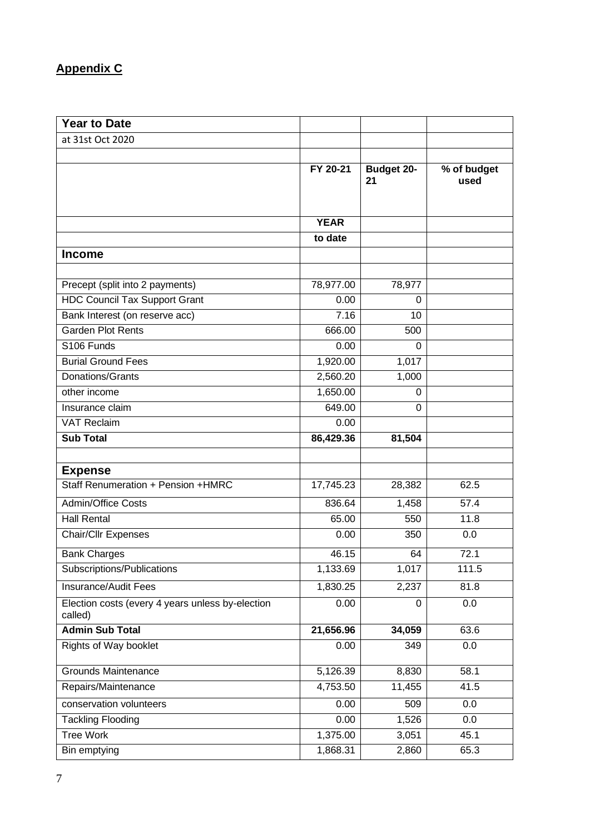# **Appendix C**

| <b>Year to Date</b>                                         |             |                         |                     |
|-------------------------------------------------------------|-------------|-------------------------|---------------------|
| at 31st Oct 2020                                            |             |                         |                     |
|                                                             |             |                         |                     |
|                                                             | FY 20-21    | <b>Budget 20-</b><br>21 | % of budget<br>used |
|                                                             | <b>YEAR</b> |                         |                     |
|                                                             | to date     |                         |                     |
| <b>Income</b>                                               |             |                         |                     |
| Precept (split into 2 payments)                             | 78,977.00   | 78,977                  |                     |
| <b>HDC Council Tax Support Grant</b>                        | 0.00        | 0                       |                     |
| Bank Interest (on reserve acc)                              | 7.16        | 10                      |                     |
| <b>Garden Plot Rents</b>                                    | 666.00      | 500                     |                     |
| S106 Funds                                                  | 0.00        | $\Omega$                |                     |
| <b>Burial Ground Fees</b>                                   | 1,920.00    | 1,017                   |                     |
| Donations/Grants                                            | 2,560.20    | 1,000                   |                     |
| other income                                                | 1,650.00    | 0                       |                     |
| Insurance claim                                             | 649.00      | $\Omega$                |                     |
| <b>VAT Reclaim</b>                                          | 0.00        |                         |                     |
| <b>Sub Total</b>                                            | 86,429.36   | 81,504                  |                     |
|                                                             |             |                         |                     |
| <b>Expense</b>                                              |             |                         |                     |
| Staff Renumeration + Pension + HMRC                         | 17,745.23   | 28,382                  | 62.5                |
| <b>Admin/Office Costs</b>                                   | 836.64      | 1,458                   | 57.4                |
| <b>Hall Rental</b>                                          | 65.00       | 550                     | 11.8                |
| <b>Chair/Cllr Expenses</b>                                  | 0.00        | 350                     | 0.0                 |
| <b>Bank Charges</b>                                         | 46.15       | 64                      | 72.1                |
| Subscriptions/Publications                                  | 1,133.69    | 1,017                   | 111.5               |
| <b>Insurance/Audit Fees</b>                                 | 1,830.25    | 2,237                   | 81.8                |
| Election costs (every 4 years unless by-election<br>called) | 0.00        | 0                       | 0.0                 |
| <b>Admin Sub Total</b>                                      | 21,656.96   | 34,059                  | 63.6                |
| <b>Rights of Way booklet</b>                                | 0.00        | 349                     | 0.0                 |
| <b>Grounds Maintenance</b>                                  | 5,126.39    | 8,830                   | 58.1                |
| Repairs/Maintenance                                         | 4,753.50    | 11,455                  | 41.5                |
| conservation volunteers                                     | 0.00        | 509                     | 0.0                 |
| <b>Tackling Flooding</b>                                    | 0.00        | 1,526                   | 0.0                 |
| <b>Tree Work</b>                                            | 1,375.00    | 3,051                   | 45.1                |
| Bin emptying                                                | 1,868.31    | 2,860                   | 65.3                |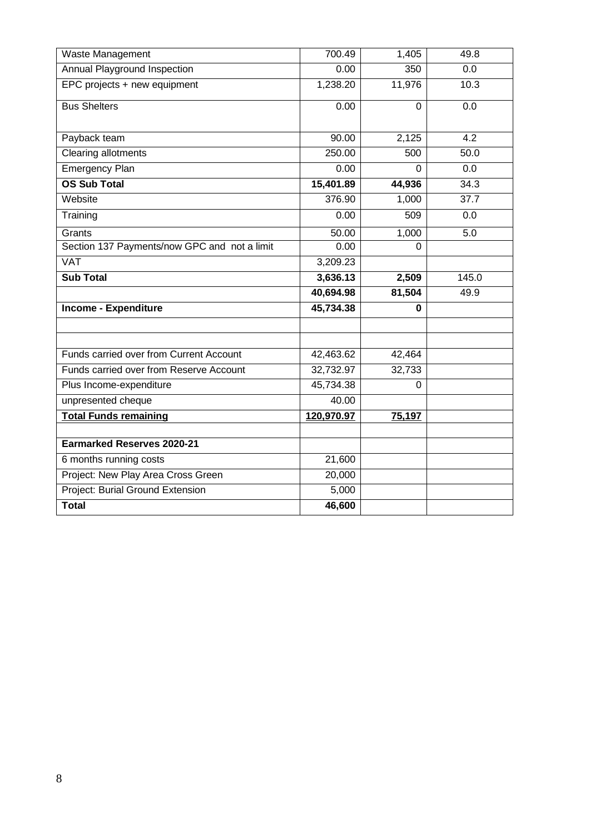| Waste Management                             | 700.49     | 1,405       | 49.8             |
|----------------------------------------------|------------|-------------|------------------|
| Annual Playground Inspection                 | 0.00       | 350         | 0.0              |
| EPC projects + new equipment                 | 1,238.20   | 11,976      | 10.3             |
| <b>Bus Shelters</b>                          | 0.00       | $\Omega$    | 0.0              |
| Payback team                                 | 90.00      | 2,125       | $\overline{4.2}$ |
| Clearing allotments                          | 250.00     | 500         | 50.0             |
| <b>Emergency Plan</b>                        | 0.00       | 0           | 0.0              |
| <b>OS Sub Total</b>                          | 15,401.89  | 44,936      | 34.3             |
| Website                                      | 376.90     | 1,000       | 37.7             |
| Training                                     | 0.00       | 509         | 0.0              |
| Grants                                       | 50.00      | 1,000       | 5.0              |
| Section 137 Payments/now GPC and not a limit | 0.00       | $\mathbf 0$ |                  |
| <b>VAT</b>                                   | 3,209.23   |             |                  |
| <b>Sub Total</b>                             | 3,636.13   | 2,509       | 145.0            |
|                                              | 40,694.98  | 81,504      | 49.9             |
| <b>Income - Expenditure</b>                  | 45,734.38  | 0           |                  |
|                                              |            |             |                  |
|                                              |            |             |                  |
| Funds carried over from Current Account      | 42,463.62  | 42,464      |                  |
| Funds carried over from Reserve Account      | 32,732.97  | 32,733      |                  |
| Plus Income-expenditure                      | 45,734.38  | 0           |                  |
| unpresented cheque                           | 40.00      |             |                  |
| <b>Total Funds remaining</b>                 | 120,970.97 | 75,197      |                  |
|                                              |            |             |                  |
| <b>Earmarked Reserves 2020-21</b>            |            |             |                  |
| 6 months running costs                       | 21,600     |             |                  |
| Project: New Play Area Cross Green           | 20,000     |             |                  |
| Project: Burial Ground Extension             | 5,000      |             |                  |
| <b>Total</b>                                 | 46,600     |             |                  |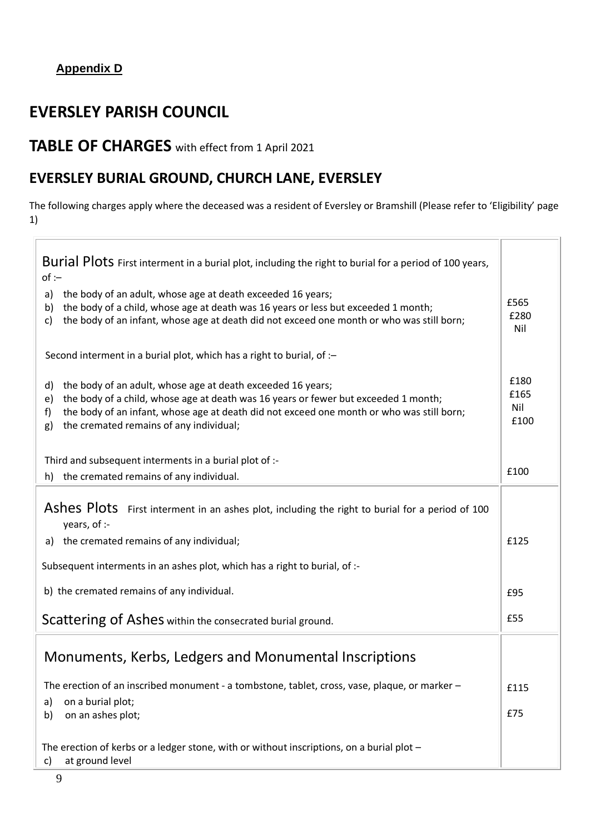## **Appendix D**

# **EVERSLEY PARISH COUNCIL**

# **TABLE OF CHARGES** with effect from 1 April 2021

## **EVERSLEY BURIAL GROUND, CHURCH LANE, EVERSLEY**

The following charges apply where the deceased was a resident of Eversley or Bramshill (Please refer to 'Eligibility' page 1)

Ī

| Burial Plots First interment in a burial plot, including the right to burial for a period of 100 years,<br>$of -$                                                                                                                                                                                                  |                             |  |  |
|--------------------------------------------------------------------------------------------------------------------------------------------------------------------------------------------------------------------------------------------------------------------------------------------------------------------|-----------------------------|--|--|
| the body of an adult, whose age at death exceeded 16 years;<br>a)<br>the body of a child, whose age at death was 16 years or less but exceeded 1 month;<br>b)<br>the body of an infant, whose age at death did not exceed one month or who was still born;<br>c)                                                   | £565<br>£280<br>Nil         |  |  |
| Second interment in a burial plot, which has a right to burial, of :-                                                                                                                                                                                                                                              |                             |  |  |
| the body of an adult, whose age at death exceeded 16 years;<br>d)<br>the body of a child, whose age at death was 16 years or fewer but exceeded 1 month;<br>e)<br>the body of an infant, whose age at death did not exceed one month or who was still born;<br>f)<br>the cremated remains of any individual;<br>g) | £180<br>£165<br>Nil<br>£100 |  |  |
| Third and subsequent interments in a burial plot of :-                                                                                                                                                                                                                                                             |                             |  |  |
| h) the cremated remains of any individual.                                                                                                                                                                                                                                                                         | £100                        |  |  |
| Ashes Plots First interment in an ashes plot, including the right to burial for a period of 100<br>years, of :-<br>a) the cremated remains of any individual;                                                                                                                                                      | £125                        |  |  |
|                                                                                                                                                                                                                                                                                                                    |                             |  |  |
| Subsequent interments in an ashes plot, which has a right to burial, of :-                                                                                                                                                                                                                                         |                             |  |  |
| b) the cremated remains of any individual.                                                                                                                                                                                                                                                                         |                             |  |  |
| Scattering of Ashes within the consecrated burial ground.                                                                                                                                                                                                                                                          |                             |  |  |
| Monuments, Kerbs, Ledgers and Monumental Inscriptions                                                                                                                                                                                                                                                              |                             |  |  |
| The erection of an inscribed monument - a tombstone, tablet, cross, vase, plaque, or marker -                                                                                                                                                                                                                      | £115                        |  |  |
| on a burial plot;<br>a)<br>on an ashes plot;<br>b)                                                                                                                                                                                                                                                                 |                             |  |  |
| The erection of kerbs or a ledger stone, with or without inscriptions, on a burial plot $-$<br>at ground level<br>c)                                                                                                                                                                                               |                             |  |  |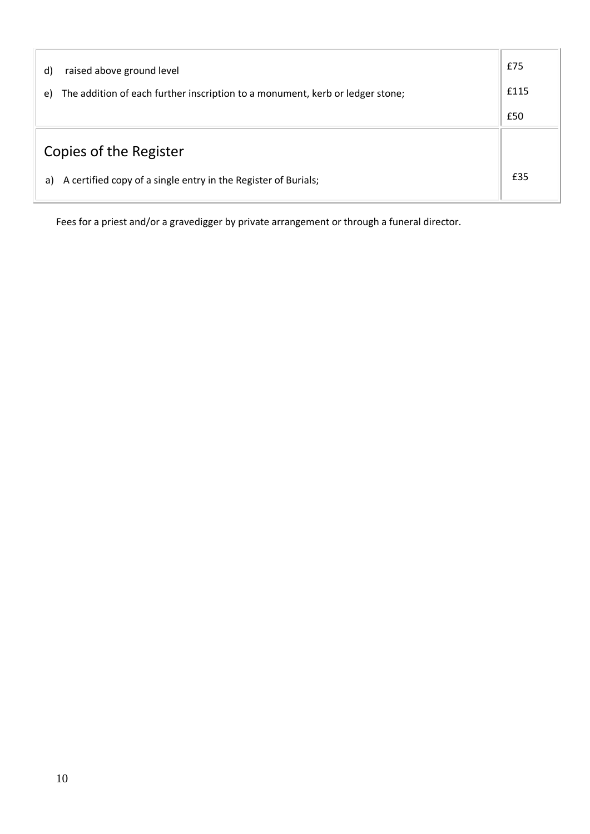| raised above ground level<br>$\mathsf{d}$                                           | £75 |
|-------------------------------------------------------------------------------------|-----|
| The addition of each further inscription to a monument, kerb or ledger stone;<br>e) |     |
|                                                                                     | £50 |
| Copies of the Register                                                              |     |
| A certified copy of a single entry in the Register of Burials;<br>a)                | £35 |

Fees for a priest and/or a gravedigger by private arrangement or through a funeral director.